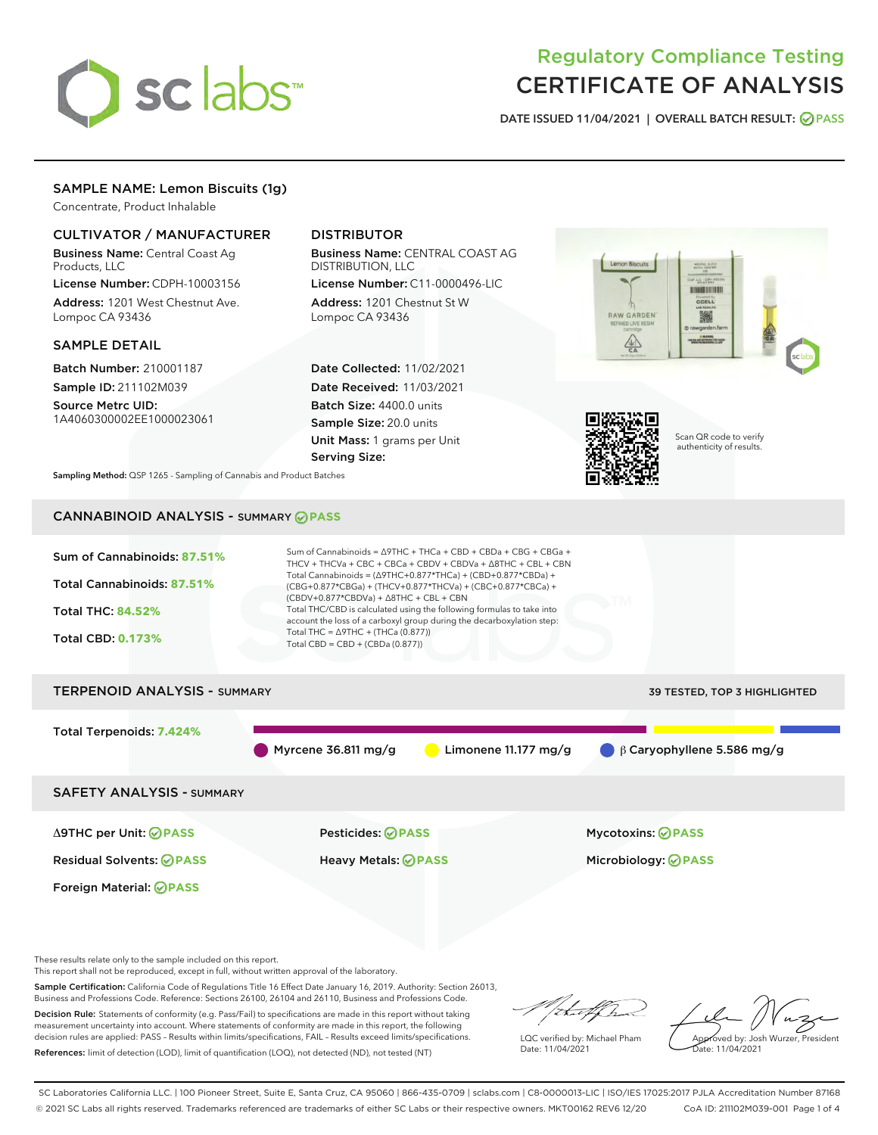

# Regulatory Compliance Testing CERTIFICATE OF ANALYSIS

DATE ISSUED 11/04/2021 | OVERALL BATCH RESULT: @ PASS

# SAMPLE NAME: Lemon Biscuits (1g)

Concentrate, Product Inhalable

# CULTIVATOR / MANUFACTURER

Business Name: Central Coast Ag Products, LLC

License Number: CDPH-10003156 Address: 1201 West Chestnut Ave. Lompoc CA 93436

#### SAMPLE DETAIL

Batch Number: 210001187 Sample ID: 211102M039

Source Metrc UID: 1A4060300002EE1000023061

# DISTRIBUTOR

Business Name: CENTRAL COAST AG DISTRIBUTION, LLC

License Number: C11-0000496-LIC Address: 1201 Chestnut St W Lompoc CA 93436

Date Collected: 11/02/2021 Date Received: 11/03/2021 Batch Size: 4400.0 units Sample Size: 20.0 units Unit Mass: 1 grams per Unit Serving Size:





Scan QR code to verify authenticity of results.

Sampling Method: QSP 1265 - Sampling of Cannabis and Product Batches

# CANNABINOID ANALYSIS - SUMMARY **PASS**



This report shall not be reproduced, except in full, without written approval of the laboratory.

Sample Certification: California Code of Regulations Title 16 Effect Date January 16, 2019. Authority: Section 26013, Business and Professions Code. Reference: Sections 26100, 26104 and 26110, Business and Professions Code.

Decision Rule: Statements of conformity (e.g. Pass/Fail) to specifications are made in this report without taking measurement uncertainty into account. Where statements of conformity are made in this report, the following decision rules are applied: PASS – Results within limits/specifications, FAIL – Results exceed limits/specifications. References: limit of detection (LOD), limit of quantification (LOQ), not detected (ND), not tested (NT)

that f(ha

LQC verified by: Michael Pham Date: 11/04/2021

Approved by: Josh Wurzer, President Date: 11/04/2021

SC Laboratories California LLC. | 100 Pioneer Street, Suite E, Santa Cruz, CA 95060 | 866-435-0709 | sclabs.com | C8-0000013-LIC | ISO/IES 17025:2017 PJLA Accreditation Number 87168 © 2021 SC Labs all rights reserved. Trademarks referenced are trademarks of either SC Labs or their respective owners. MKT00162 REV6 12/20 CoA ID: 211102M039-001 Page 1 of 4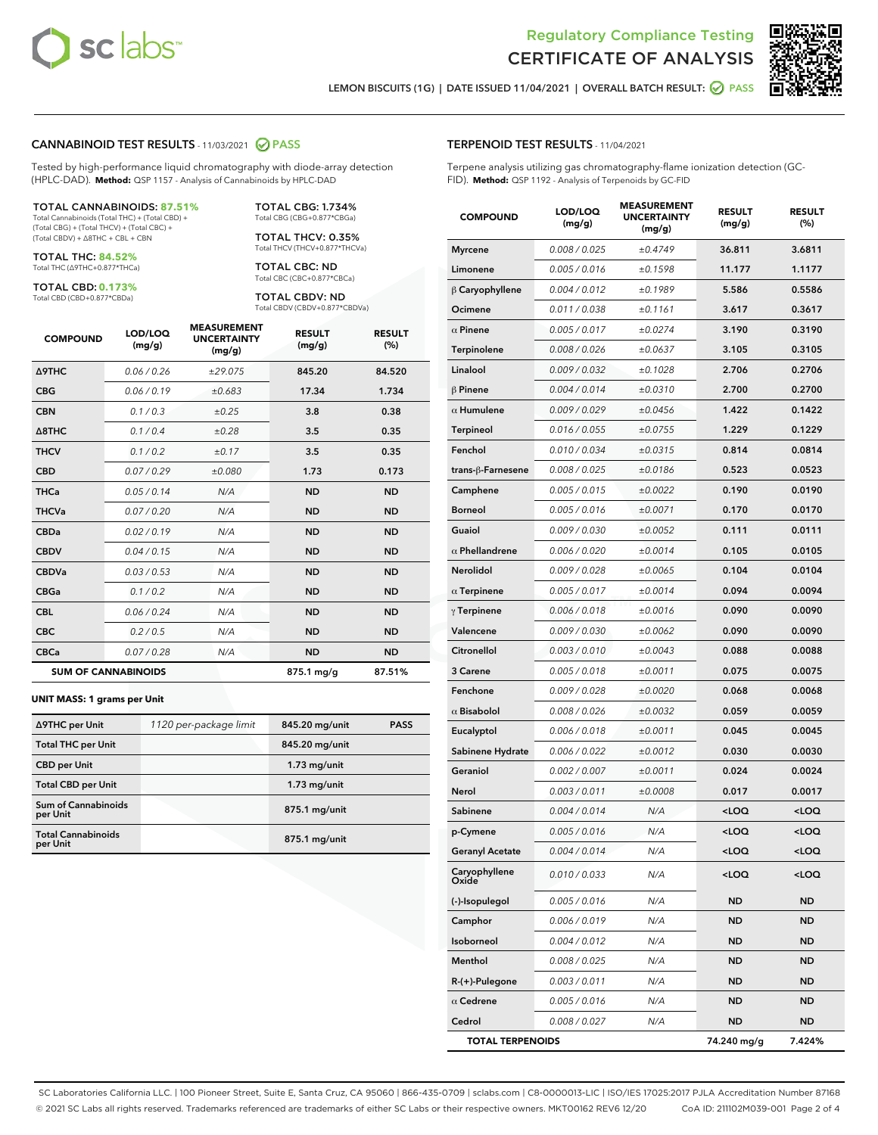



LEMON BISCUITS (1G) | DATE ISSUED 11/04/2021 | OVERALL BATCH RESULT: 2 PASS

#### CANNABINOID TEST RESULTS - 11/03/2021 2 PASS

Tested by high-performance liquid chromatography with diode-array detection (HPLC-DAD). **Method:** QSP 1157 - Analysis of Cannabinoids by HPLC-DAD

#### TOTAL CANNABINOIDS: **87.51%**

Total Cannabinoids (Total THC) + (Total CBD) + (Total CBG) + (Total THCV) + (Total CBC) + (Total CBDV) + ∆8THC + CBL + CBN

TOTAL THC: **84.52%** Total THC (∆9THC+0.877\*THCa)

TOTAL CBD: **0.173%**

Total CBD (CBD+0.877\*CBDa)

TOTAL CBG: 1.734% Total CBG (CBG+0.877\*CBGa)

TOTAL THCV: 0.35% Total THCV (THCV+0.877\*THCVa)

TOTAL CBC: ND Total CBC (CBC+0.877\*CBCa)

TOTAL CBDV: ND Total CBDV (CBDV+0.877\*CBDVa)

| <b>COMPOUND</b>  | LOD/LOQ<br>(mg/g)          | <b>MEASUREMENT</b><br><b>UNCERTAINTY</b><br>(mg/g) | <b>RESULT</b><br>(mg/g) | <b>RESULT</b><br>(%) |
|------------------|----------------------------|----------------------------------------------------|-------------------------|----------------------|
| <b>A9THC</b>     | 0.06 / 0.26                | ±29.075                                            | 845.20                  | 84.520               |
| <b>CBG</b>       | 0.06/0.19                  | ±0.683                                             | 17.34                   | 1.734                |
| <b>CBN</b>       | 0.1/0.3                    | ±0.25                                              | 3.8                     | 0.38                 |
| $\triangle$ 8THC | 0.1/0.4                    | ±0.28                                              | 3.5                     | 0.35                 |
| <b>THCV</b>      | 0.1/0.2                    | ±0.17                                              | 3.5                     | 0.35                 |
| <b>CBD</b>       | 0.07/0.29                  | ±0.080                                             | 1.73                    | 0.173                |
| <b>THCa</b>      | 0.05/0.14                  | N/A                                                | <b>ND</b>               | <b>ND</b>            |
| <b>THCVa</b>     | 0.07/0.20                  | N/A                                                | <b>ND</b>               | <b>ND</b>            |
| <b>CBDa</b>      | 0.02/0.19                  | N/A                                                | <b>ND</b>               | <b>ND</b>            |
| <b>CBDV</b>      | 0.04/0.15                  | N/A                                                | <b>ND</b>               | <b>ND</b>            |
| <b>CBDVa</b>     | 0.03/0.53                  | N/A                                                | <b>ND</b>               | <b>ND</b>            |
| <b>CBGa</b>      | 0.1/0.2                    | N/A                                                | <b>ND</b>               | <b>ND</b>            |
| <b>CBL</b>       | 0.06 / 0.24                | N/A                                                | <b>ND</b>               | <b>ND</b>            |
| <b>CBC</b>       | 0.2 / 0.5                  | N/A                                                | <b>ND</b>               | <b>ND</b>            |
| <b>CBCa</b>      | 0.07/0.28                  | N/A                                                | <b>ND</b>               | <b>ND</b>            |
|                  | <b>SUM OF CANNABINOIDS</b> |                                                    | 875.1 mg/g              | 87.51%               |

#### **UNIT MASS: 1 grams per Unit**

| ∆9THC per Unit                         | 1120 per-package limit | 845.20 mg/unit  | <b>PASS</b> |
|----------------------------------------|------------------------|-----------------|-------------|
| <b>Total THC per Unit</b>              |                        | 845.20 mg/unit  |             |
| <b>CBD per Unit</b>                    |                        | $1.73$ mg/unit  |             |
| <b>Total CBD per Unit</b>              |                        | $1.73$ mg/unit  |             |
| <b>Sum of Cannabinoids</b><br>per Unit |                        | 875.1 mg/unit   |             |
| <b>Total Cannabinoids</b><br>per Unit  |                        | $875.1$ mg/unit |             |

# TERPENOID TEST RESULTS - 11/04/2021

Terpene analysis utilizing gas chromatography-flame ionization detection (GC-FID). **Method:** QSP 1192 - Analysis of Terpenoids by GC-FID

| <b>COMPOUND</b>         | LOD/LOQ<br>(mg/g) | <b>MEASUREMENT</b><br><b>UNCERTAINTY</b><br>(mg/g) | <b>RESULT</b><br>(mg/g)                         | <b>RESULT</b><br>(%) |
|-------------------------|-------------------|----------------------------------------------------|-------------------------------------------------|----------------------|
| <b>Myrcene</b>          | 0.008 / 0.025     | ±0.4749                                            | 36.811                                          | 3.6811               |
| Limonene                | 0.005 / 0.016     | ±0.1598                                            | 11.177                                          | 1.1177               |
| β Caryophyllene         | 0.004 / 0.012     | ±0.1989                                            | 5.586                                           | 0.5586               |
| Ocimene                 | 0.011 / 0.038     | ±0.1161                                            | 3.617                                           | 0.3617               |
| $\alpha$ Pinene         | 0.005 / 0.017     | ±0.0274                                            | 3.190                                           | 0.3190               |
| Terpinolene             | 0.008 / 0.026     | ±0.0637                                            | 3.105                                           | 0.3105               |
| Linalool                | 0.009 / 0.032     | ±0.1028                                            | 2.706                                           | 0.2706               |
| $\beta$ Pinene          | 0.004 / 0.014     | ±0.0310                                            | 2.700                                           | 0.2700               |
| $\alpha$ Humulene       | 0.009 / 0.029     | ±0.0456                                            | 1.422                                           | 0.1422               |
| <b>Terpineol</b>        | 0.016 / 0.055     | ±0.0755                                            | 1.229                                           | 0.1229               |
| Fenchol                 | 0.010 / 0.034     | ±0.0315                                            | 0.814                                           | 0.0814               |
| trans-ß-Farnesene       | 0.008 / 0.025     | ±0.0186                                            | 0.523                                           | 0.0523               |
| Camphene                | 0.005 / 0.015     | ±0.0022                                            | 0.190                                           | 0.0190               |
| <b>Borneol</b>          | 0.005 / 0.016     | ±0.0071                                            | 0.170                                           | 0.0170               |
| Guaiol                  | 0.009 / 0.030     | ±0.0052                                            | 0.111                                           | 0.0111               |
| $\alpha$ Phellandrene   | 0.006 / 0.020     | ±0.0014                                            | 0.105                                           | 0.0105               |
| Nerolidol               | 0.009 / 0.028     | ±0.0065                                            | 0.104                                           | 0.0104               |
| $\alpha$ Terpinene      | 0.005 / 0.017     | ±0.0014                                            | 0.094                                           | 0.0094               |
| $\gamma$ Terpinene      | 0.006 / 0.018     | ±0.0016                                            | 0.090                                           | 0.0090               |
| Valencene               | 0.009 / 0.030     | ±0.0062                                            | 0.090                                           | 0.0090               |
| Citronellol             | 0.003 / 0.010     | ±0.0043                                            | 0.088                                           | 0.0088               |
| 3 Carene                | 0.005 / 0.018     | ±0.0011                                            | 0.075                                           | 0.0075               |
| Fenchone                | 0.009 / 0.028     | ±0.0020                                            | 0.068                                           | 0.0068               |
| $\alpha$ Bisabolol      | 0.008 / 0.026     | ±0.0032                                            | 0.059                                           | 0.0059               |
| Eucalyptol              | 0.006 / 0.018     | ±0.0011                                            | 0.045                                           | 0.0045               |
| Sabinene Hydrate        | 0.006 / 0.022     | ±0.0012                                            | 0.030                                           | 0.0030               |
| Geraniol                | 0.002 / 0.007     | ±0.0011                                            | 0.024                                           | 0.0024               |
| Nerol                   | 0.003 / 0.011     | ±0.0008                                            | 0.017                                           | 0.0017               |
| Sabinene                | 0.004 / 0.014     | N/A                                                | <loq< th=""><th><loq< th=""></loq<></th></loq<> | <loq< th=""></loq<>  |
| p-Cymene                | 0.005 / 0.016     | N/A                                                | <loq< th=""><th><loq< th=""></loq<></th></loq<> | <loq< th=""></loq<>  |
| <b>Geranyl Acetate</b>  | 0.004 / 0.014     | N/A                                                | <loq< th=""><th><loq< th=""></loq<></th></loq<> | <loq< th=""></loq<>  |
| Caryophyllene<br>Oxide  | 0.010 / 0.033     | N/A                                                | 100                                             | <loq< th=""></loq<>  |
| (-)-Isopulegol          | 0.005 / 0.016     | N/A                                                | ND                                              | ND                   |
| Camphor                 | 0.006 / 0.019     | N/A                                                | ND                                              | ND                   |
| Isoborneol              | 0.004 / 0.012     | N/A                                                | ND                                              | ND                   |
| Menthol                 | 0.008 / 0.025     | N/A                                                | ND                                              | ND                   |
| R-(+)-Pulegone          | 0.003 / 0.011     | N/A                                                | ND                                              | ND                   |
| $\alpha$ Cedrene        | 0.005 / 0.016     | N/A                                                | ND                                              | ND                   |
| Cedrol                  | 0.008 / 0.027     | N/A                                                | ND                                              | ND                   |
| <b>TOTAL TERPENOIDS</b> |                   |                                                    | 74.240 mg/g                                     | 7.424%               |

SC Laboratories California LLC. | 100 Pioneer Street, Suite E, Santa Cruz, CA 95060 | 866-435-0709 | sclabs.com | C8-0000013-LIC | ISO/IES 17025:2017 PJLA Accreditation Number 87168 © 2021 SC Labs all rights reserved. Trademarks referenced are trademarks of either SC Labs or their respective owners. MKT00162 REV6 12/20 CoA ID: 211102M039-001 Page 2 of 4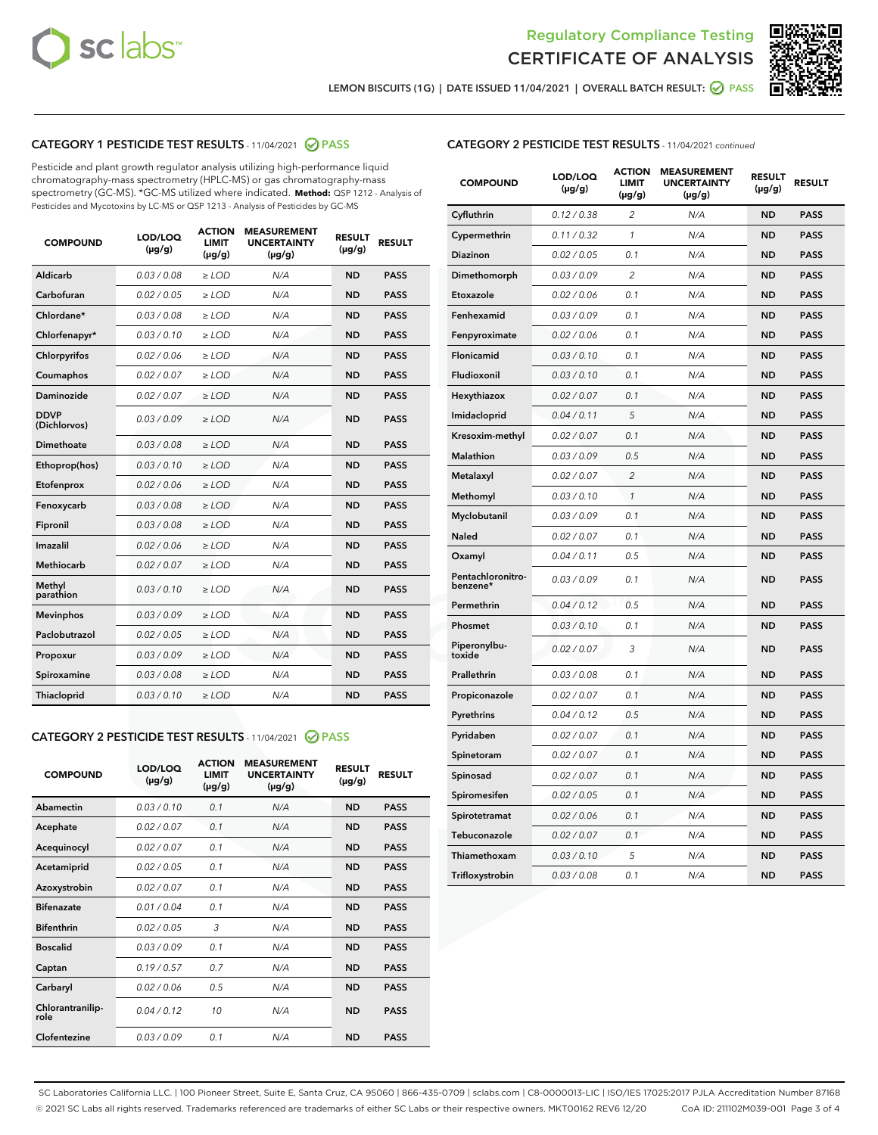



LEMON BISCUITS (1G) | DATE ISSUED 11/04/2021 | OVERALL BATCH RESULT: 2 PASS

# CATEGORY 1 PESTICIDE TEST RESULTS - 11/04/2021 2 PASS

Pesticide and plant growth regulator analysis utilizing high-performance liquid chromatography-mass spectrometry (HPLC-MS) or gas chromatography-mass spectrometry (GC-MS). \*GC-MS utilized where indicated. **Method:** QSP 1212 - Analysis of Pesticides and Mycotoxins by LC-MS or QSP 1213 - Analysis of Pesticides by GC-MS

| <b>COMPOUND</b>             | LOD/LOQ<br>$(\mu g/g)$ | <b>ACTION</b><br><b>LIMIT</b><br>$(\mu g/g)$ | <b>MEASUREMENT</b><br><b>UNCERTAINTY</b><br>$(\mu g/g)$ | <b>RESULT</b><br>$(\mu g/g)$ | <b>RESULT</b> |
|-----------------------------|------------------------|----------------------------------------------|---------------------------------------------------------|------------------------------|---------------|
| Aldicarb                    | 0.03 / 0.08            | $\ge$ LOD                                    | N/A                                                     | <b>ND</b>                    | <b>PASS</b>   |
| Carbofuran                  | 0.02/0.05              | $\ge$ LOD                                    | N/A                                                     | <b>ND</b>                    | <b>PASS</b>   |
| Chlordane*                  | 0.03 / 0.08            | $\ge$ LOD                                    | N/A                                                     | <b>ND</b>                    | <b>PASS</b>   |
| Chlorfenapyr*               | 0.03/0.10              | $\ge$ LOD                                    | N/A                                                     | <b>ND</b>                    | <b>PASS</b>   |
| Chlorpyrifos                | 0.02 / 0.06            | $\ge$ LOD                                    | N/A                                                     | <b>ND</b>                    | <b>PASS</b>   |
| Coumaphos                   | 0.02 / 0.07            | $>$ LOD                                      | N/A                                                     | <b>ND</b>                    | <b>PASS</b>   |
| Daminozide                  | 0.02 / 0.07            | $\ge$ LOD                                    | N/A                                                     | <b>ND</b>                    | <b>PASS</b>   |
| <b>DDVP</b><br>(Dichlorvos) | 0.03/0.09              | $\ge$ LOD                                    | N/A                                                     | <b>ND</b>                    | <b>PASS</b>   |
| Dimethoate                  | 0.03 / 0.08            | $>$ LOD                                      | N/A                                                     | <b>ND</b>                    | <b>PASS</b>   |
| Ethoprop(hos)               | 0.03/0.10              | $\ge$ LOD                                    | N/A                                                     | <b>ND</b>                    | <b>PASS</b>   |
| Etofenprox                  | 0.02 / 0.06            | $\ge$ LOD                                    | N/A                                                     | <b>ND</b>                    | <b>PASS</b>   |
| Fenoxycarb                  | 0.03 / 0.08            | $>$ LOD                                      | N/A                                                     | <b>ND</b>                    | <b>PASS</b>   |
| Fipronil                    | 0.03/0.08              | $\ge$ LOD                                    | N/A                                                     | <b>ND</b>                    | <b>PASS</b>   |
| Imazalil                    | 0.02 / 0.06            | $>$ LOD                                      | N/A                                                     | <b>ND</b>                    | <b>PASS</b>   |
| Methiocarb                  | 0.02 / 0.07            | $\ge$ LOD                                    | N/A                                                     | <b>ND</b>                    | <b>PASS</b>   |
| Methyl<br>parathion         | 0.03/0.10              | $\ge$ LOD                                    | N/A                                                     | <b>ND</b>                    | <b>PASS</b>   |
| <b>Mevinphos</b>            | 0.03/0.09              | $\ge$ LOD                                    | N/A                                                     | <b>ND</b>                    | <b>PASS</b>   |
| Paclobutrazol               | 0.02 / 0.05            | $\ge$ LOD                                    | N/A                                                     | <b>ND</b>                    | <b>PASS</b>   |
| Propoxur                    | 0.03/0.09              | $\ge$ LOD                                    | N/A                                                     | <b>ND</b>                    | <b>PASS</b>   |
| Spiroxamine                 | 0.03 / 0.08            | $\ge$ LOD                                    | N/A                                                     | <b>ND</b>                    | <b>PASS</b>   |
| Thiacloprid                 | 0.03/0.10              | $\ge$ LOD                                    | N/A                                                     | <b>ND</b>                    | <b>PASS</b>   |

## CATEGORY 2 PESTICIDE TEST RESULTS - 11/04/2021 @ PASS

| <b>COMPOUND</b>          | LOD/LOQ<br>$(\mu g/g)$ | <b>ACTION</b><br>LIMIT<br>$(\mu g/g)$ | <b>MEASUREMENT</b><br><b>UNCERTAINTY</b><br>$(\mu g/g)$ | <b>RESULT</b><br>$(\mu g/g)$ | <b>RESULT</b> |  |
|--------------------------|------------------------|---------------------------------------|---------------------------------------------------------|------------------------------|---------------|--|
| Abamectin                | 0.03/0.10              | 0.1                                   | N/A                                                     | <b>ND</b>                    | <b>PASS</b>   |  |
| Acephate                 | 0.02/0.07              | 0.1                                   | N/A                                                     | <b>ND</b>                    | <b>PASS</b>   |  |
| Acequinocyl              | 0.02 / 0.07            | 0.1                                   | N/A                                                     | <b>ND</b>                    | <b>PASS</b>   |  |
| Acetamiprid              | 0.02/0.05              | 0.1                                   | N/A                                                     | <b>ND</b>                    | <b>PASS</b>   |  |
| Azoxystrobin             | 0.02/0.07              | 0.1                                   | N/A                                                     | <b>ND</b>                    | <b>PASS</b>   |  |
| <b>Bifenazate</b>        | 0.01/0.04              | 0.1                                   | N/A                                                     | <b>ND</b>                    | <b>PASS</b>   |  |
| <b>Bifenthrin</b>        | 0.02 / 0.05            | 3                                     | N/A                                                     | <b>ND</b>                    | <b>PASS</b>   |  |
| <b>Boscalid</b>          | 0.03/0.09              | 0.1                                   | N/A                                                     | <b>ND</b>                    | <b>PASS</b>   |  |
| Captan                   | 0.19/0.57              | 07                                    | N/A                                                     | <b>ND</b>                    | <b>PASS</b>   |  |
| Carbaryl                 | 0.02/0.06              | 0.5                                   | N/A                                                     | <b>ND</b>                    | <b>PASS</b>   |  |
| Chlorantranilip-<br>role | 0.04/0.12              | 10                                    | N/A                                                     | <b>ND</b>                    | <b>PASS</b>   |  |
| Clofentezine             | 0.03/0.09              | 0.1                                   | N/A                                                     | <b>ND</b>                    | <b>PASS</b>   |  |

| <b>COMPOUND</b>               | LOD/LOQ<br>(µg/g) | <b>ACTION</b><br>LIMIT<br>$(\mu g/g)$ | <b>MEASUREMENT</b><br><b>UNCERTAINTY</b><br>$(\mu g/g)$ | <b>RESULT</b><br>(µg/g) | <b>RESULT</b> |
|-------------------------------|-------------------|---------------------------------------|---------------------------------------------------------|-------------------------|---------------|
| Cyfluthrin                    | 0.12 / 0.38       | 2                                     | N/A                                                     | <b>ND</b>               | <b>PASS</b>   |
| Cypermethrin                  | 0.11 / 0.32       | $\mathcal{I}$                         | N/A                                                     | <b>ND</b>               | <b>PASS</b>   |
| Diazinon                      | 0.02 / 0.05       | 0.1                                   | N/A                                                     | <b>ND</b>               | <b>PASS</b>   |
| Dimethomorph                  | 0.03 / 0.09       | 2                                     | N/A                                                     | <b>ND</b>               | <b>PASS</b>   |
| Etoxazole                     | 0.02 / 0.06       | 0.1                                   | N/A                                                     | <b>ND</b>               | <b>PASS</b>   |
| Fenhexamid                    | 0.03 / 0.09       | 0.1                                   | N/A                                                     | <b>ND</b>               | <b>PASS</b>   |
| Fenpyroximate                 | 0.02 / 0.06       | 0.1                                   | N/A                                                     | <b>ND</b>               | <b>PASS</b>   |
| Flonicamid                    | 0.03 / 0.10       | 0.1                                   | N/A                                                     | <b>ND</b>               | <b>PASS</b>   |
| Fludioxonil                   | 0.03 / 0.10       | 0.1                                   | N/A                                                     | <b>ND</b>               | <b>PASS</b>   |
| Hexythiazox                   | 0.02 / 0.07       | 0.1                                   | N/A                                                     | <b>ND</b>               | <b>PASS</b>   |
| Imidacloprid                  | 0.04 / 0.11       | 5                                     | N/A                                                     | <b>ND</b>               | <b>PASS</b>   |
| Kresoxim-methyl               | 0.02 / 0.07       | 0.1                                   | N/A                                                     | <b>ND</b>               | <b>PASS</b>   |
| Malathion                     | 0.03 / 0.09       | 0.5                                   | N/A                                                     | <b>ND</b>               | <b>PASS</b>   |
| Metalaxyl                     | 0.02 / 0.07       | $\overline{c}$                        | N/A                                                     | <b>ND</b>               | <b>PASS</b>   |
| Methomyl                      | 0.03 / 0.10       | $\mathcal{I}$                         | N/A                                                     | <b>ND</b>               | <b>PASS</b>   |
| Myclobutanil                  | 0.03 / 0.09       | 0.1                                   | N/A                                                     | <b>ND</b>               | <b>PASS</b>   |
| Naled                         | 0.02 / 0.07       | 0.1                                   | N/A                                                     | <b>ND</b>               | <b>PASS</b>   |
| Oxamyl                        | 0.04 / 0.11       | 0.5                                   | N/A                                                     | <b>ND</b>               | <b>PASS</b>   |
| Pentachloronitro-<br>benzene* | 0.03/0.09         | 0.1                                   | N/A                                                     | <b>ND</b>               | <b>PASS</b>   |
| Permethrin                    | 0.04 / 0.12       | 0.5                                   | N/A                                                     | <b>ND</b>               | <b>PASS</b>   |
| Phosmet                       | 0.03 / 0.10       | 0.1                                   | N/A                                                     | <b>ND</b>               | <b>PASS</b>   |
| Piperonylbu-<br>toxide        | 0.02 / 0.07       | 3                                     | N/A                                                     | <b>ND</b>               | <b>PASS</b>   |
| Prallethrin                   | 0.03 / 0.08       | 0.1                                   | N/A                                                     | <b>ND</b>               | <b>PASS</b>   |
| Propiconazole                 | 0.02 / 0.07       | 0.1                                   | N/A                                                     | <b>ND</b>               | <b>PASS</b>   |
| Pyrethrins                    | 0.04 / 0.12       | 0.5                                   | N/A                                                     | <b>ND</b>               | <b>PASS</b>   |
| Pyridaben                     | 0.02 / 0.07       | 0.1                                   | N/A                                                     | <b>ND</b>               | <b>PASS</b>   |
| Spinetoram                    | 0.02 / 0.07       | 0.1                                   | N/A                                                     | <b>ND</b>               | <b>PASS</b>   |
| Spinosad                      | 0.02 / 0.07       | 0.1                                   | N/A                                                     | <b>ND</b>               | <b>PASS</b>   |
| Spiromesifen                  | 0.02 / 0.05       | 0.1                                   | N/A                                                     | <b>ND</b>               | <b>PASS</b>   |
| Spirotetramat                 | 0.02 / 0.06       | 0.1                                   | N/A                                                     | <b>ND</b>               | <b>PASS</b>   |
| Tebuconazole                  | 0.02 / 0.07       | 0.1                                   | N/A                                                     | <b>ND</b>               | <b>PASS</b>   |
| Thiamethoxam                  | 0.03 / 0.10       | 5                                     | N/A                                                     | <b>ND</b>               | <b>PASS</b>   |
| Trifloxystrobin               | 0.03 / 0.08       | 0.1                                   | N/A                                                     | <b>ND</b>               | <b>PASS</b>   |

SC Laboratories California LLC. | 100 Pioneer Street, Suite E, Santa Cruz, CA 95060 | 866-435-0709 | sclabs.com | C8-0000013-LIC | ISO/IES 17025:2017 PJLA Accreditation Number 87168 © 2021 SC Labs all rights reserved. Trademarks referenced are trademarks of either SC Labs or their respective owners. MKT00162 REV6 12/20 CoA ID: 211102M039-001 Page 3 of 4